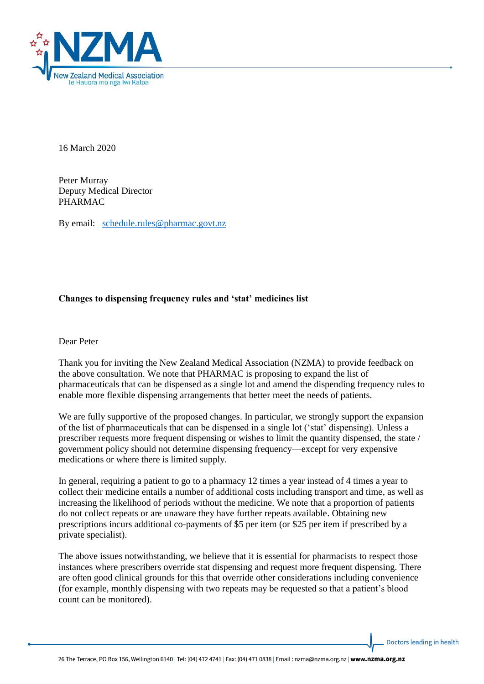

16 March 2020

Peter Murray Deputy Medical Director PHARMAC

By email: [schedule.rules@pharmac.govt.nz](mailto:schedule.rules@pharmac.govt.nz)

## **Changes to dispensing frequency rules and 'stat' medicines list**

Dear Peter

Thank you for inviting the New Zealand Medical Association (NZMA) to provide feedback on the above consultation. We note that PHARMAC is proposing to expand the list of pharmaceuticals that can be dispensed as a single lot and amend the dispending frequency rules to enable more flexible dispensing arrangements that better meet the needs of patients.

We are fully supportive of the proposed changes. In particular, we strongly support the expansion of the list of pharmaceuticals that can be dispensed in a single lot ('stat' dispensing). Unless a prescriber requests more frequent dispensing or wishes to limit the quantity dispensed, the state / government policy should not determine dispensing frequency—except for very expensive medications or where there is limited supply.

In general, requiring a patient to go to a pharmacy 12 times a year instead of 4 times a year to collect their medicine entails a number of additional costs including transport and time, as well as increasing the likelihood of periods without the medicine. We note that a proportion of patients do not collect repeats or are unaware they have further repeats available. Obtaining new prescriptions incurs additional co-payments of \$5 per item (or \$25 per item if prescribed by a private specialist).

The above issues notwithstanding, we believe that it is essential for pharmacists to respect those instances where prescribers override stat dispensing and request more frequent dispensing. There are often good clinical grounds for this that override other considerations including convenience (for example, monthly dispensing with two repeats may be requested so that a patient's blood count can be monitored).

Doctors leading in health